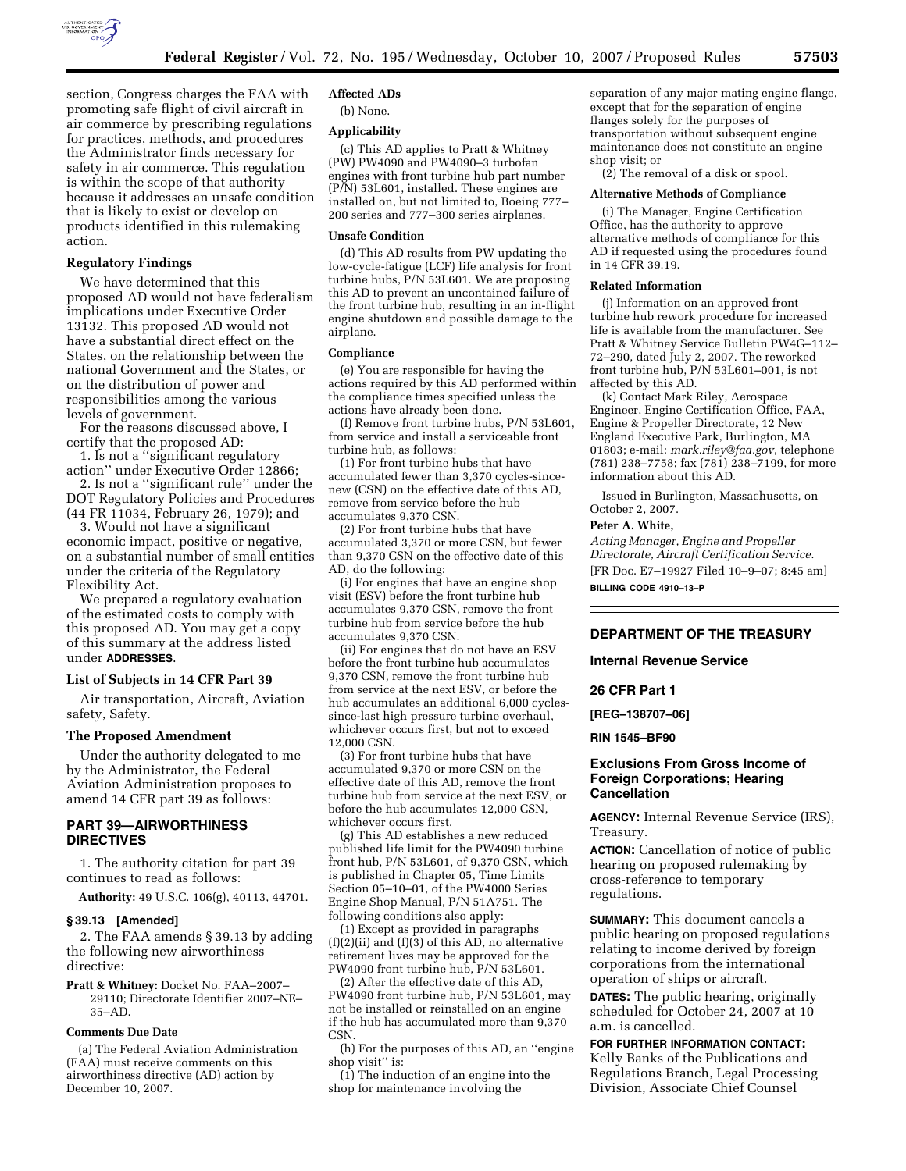

section, Congress charges the FAA with promoting safe flight of civil aircraft in air commerce by prescribing regulations for practices, methods, and procedures the Administrator finds necessary for safety in air commerce. This regulation is within the scope of that authority because it addresses an unsafe condition that is likely to exist or develop on products identified in this rulemaking action.

### **Regulatory Findings**

We have determined that this proposed AD would not have federalism implications under Executive Order 13132. This proposed AD would not have a substantial direct effect on the States, on the relationship between the national Government and the States, or on the distribution of power and responsibilities among the various levels of government.

For the reasons discussed above, I certify that the proposed AD:

1. Is not a ''significant regulatory action'' under Executive Order 12866;

2. Is not a ''significant rule'' under the DOT Regulatory Policies and Procedures (44 FR 11034, February 26, 1979); and

3. Would not have a significant economic impact, positive or negative, on a substantial number of small entities under the criteria of the Regulatory Flexibility Act.

We prepared a regulatory evaluation of the estimated costs to comply with this proposed AD. You may get a copy of this summary at the address listed under **ADDRESSES**.

### **List of Subjects in 14 CFR Part 39**

Air transportation, Aircraft, Aviation safety, Safety.

#### **The Proposed Amendment**

Under the authority delegated to me by the Administrator, the Federal Aviation Administration proposes to amend 14 CFR part 39 as follows:

# **PART 39—AIRWORTHINESS DIRECTIVES**

1. The authority citation for part 39 continues to read as follows:

**Authority:** 49 U.S.C. 106(g), 40113, 44701.

#### **§ 39.13 [Amended]**

2. The FAA amends § 39.13 by adding the following new airworthiness directive:

**Pratt & Whitney:** Docket No. FAA–2007– 29110; Directorate Identifier 2007–NE– 35–AD.

### **Comments Due Date**

(a) The Federal Aviation Administration (FAA) must receive comments on this airworthiness directive (AD) action by December 10, 2007.

# **Affected ADs**

(b) None.

## **Applicability**

(c) This AD applies to Pratt & Whitney (PW) PW4090 and PW4090–3 turbofan engines with front turbine hub part number (P/N) 53L601, installed. These engines are installed on, but not limited to, Boeing 777– 200 series and 777–300 series airplanes.

#### **Unsafe Condition**

(d) This AD results from PW updating the low-cycle-fatigue (LCF) life analysis for front turbine hubs, P/N 53L601. We are proposing this AD to prevent an uncontained failure of the front turbine hub, resulting in an in-flight engine shutdown and possible damage to the airplane.

#### **Compliance**

(e) You are responsible for having the actions required by this AD performed within the compliance times specified unless the actions have already been done.

(f) Remove front turbine hubs, P/N 53L601, from service and install a serviceable front turbine hub, as follows:

(1) For front turbine hubs that have accumulated fewer than 3,370 cycles-sincenew (CSN) on the effective date of this AD, remove from service before the hub accumulates 9,370 CSN.

(2) For front turbine hubs that have accumulated 3,370 or more CSN, but fewer than 9,370 CSN on the effective date of this AD, do the following:

(i) For engines that have an engine shop visit (ESV) before the front turbine hub accumulates 9,370 CSN, remove the front turbine hub from service before the hub accumulates 9,370 CSN.

(ii) For engines that do not have an ESV before the front turbine hub accumulates 9,370 CSN, remove the front turbine hub from service at the next ESV, or before the hub accumulates an additional 6,000 cyclessince-last high pressure turbine overhaul, whichever occurs first, but not to exceed 12,000 CSN.

(3) For front turbine hubs that have accumulated 9,370 or more CSN on the effective date of this AD, remove the front turbine hub from service at the next ESV, or before the hub accumulates 12,000 CSN, whichever occurs first.

(g) This AD establishes a new reduced published life limit for the PW4090 turbine front hub, P/N 53L601, of 9,370 CSN, which is published in Chapter 05, Time Limits Section 05–10–01, of the PW4000 Series Engine Shop Manual, P/N 51A751. The following conditions also apply:

(1) Except as provided in paragraphs  $(f)(2)(ii)$  and  $(f)(3)$  of this AD, no alternative retirement lives may be approved for the PW4090 front turbine hub, P/N 53L601.

(2) After the effective date of this AD, PW4090 front turbine hub, P/N 53L601, may not be installed or reinstalled on an engine if the hub has accumulated more than  $9,370$ CSN.

(h) For the purposes of this AD, an ''engine shop visit'' is:

(1) The induction of an engine into the shop for maintenance involving the

separation of any major mating engine flange, except that for the separation of engine flanges solely for the purposes of transportation without subsequent engine maintenance does not constitute an engine shop visit; or

(2) The removal of a disk or spool.

#### **Alternative Methods of Compliance**

(i) The Manager, Engine Certification Office, has the authority to approve alternative methods of compliance for this AD if requested using the procedures found in 14 CFR 39.19.

# **Related Information**

(j) Information on an approved front turbine hub rework procedure for increased life is available from the manufacturer. See Pratt & Whitney Service Bulletin PW4G–112–  $72-290$ , dated July 2, 2007. The reworked front turbine hub, P/N 53L601–001, is not affected by this AD.

(k) Contact Mark Riley, Aerospace Engineer, Engine Certification Office, FAA, Engine & Propeller Directorate, 12 New England Executive Park, Burlington, MA 01803; e-mail: *mark.riley@faa.gov*, telephone (781) 238–7758; fax (781) 238–7199, for more information about this AD.

Issued in Burlington, Massachusetts, on October 2, 2007.

### **Peter A. White,**

*Acting Manager, Engine and Propeller Directorate, Aircraft Certification Service.*  [FR Doc. E7–19927 Filed 10–9–07; 8:45 am] **BILLING CODE 4910–13–P** 

# **DEPARTMENT OF THE TREASURY**

### **Internal Revenue Service**

### **26 CFR Part 1**

**[REG–138707–06]** 

**RIN 1545–BF90** 

# **Exclusions From Gross Income of Foreign Corporations; Hearing Cancellation**

**AGENCY:** Internal Revenue Service (IRS), Treasury.

**ACTION:** Cancellation of notice of public hearing on proposed rulemaking by cross-reference to temporary regulations.

**SUMMARY:** This document cancels a public hearing on proposed regulations relating to income derived by foreign corporations from the international operation of ships or aircraft.

**DATES:** The public hearing, originally scheduled for October 24, 2007 at 10 a.m. is cancelled.

## **FOR FURTHER INFORMATION CONTACT:**

Kelly Banks of the Publications and Regulations Branch, Legal Processing Division, Associate Chief Counsel